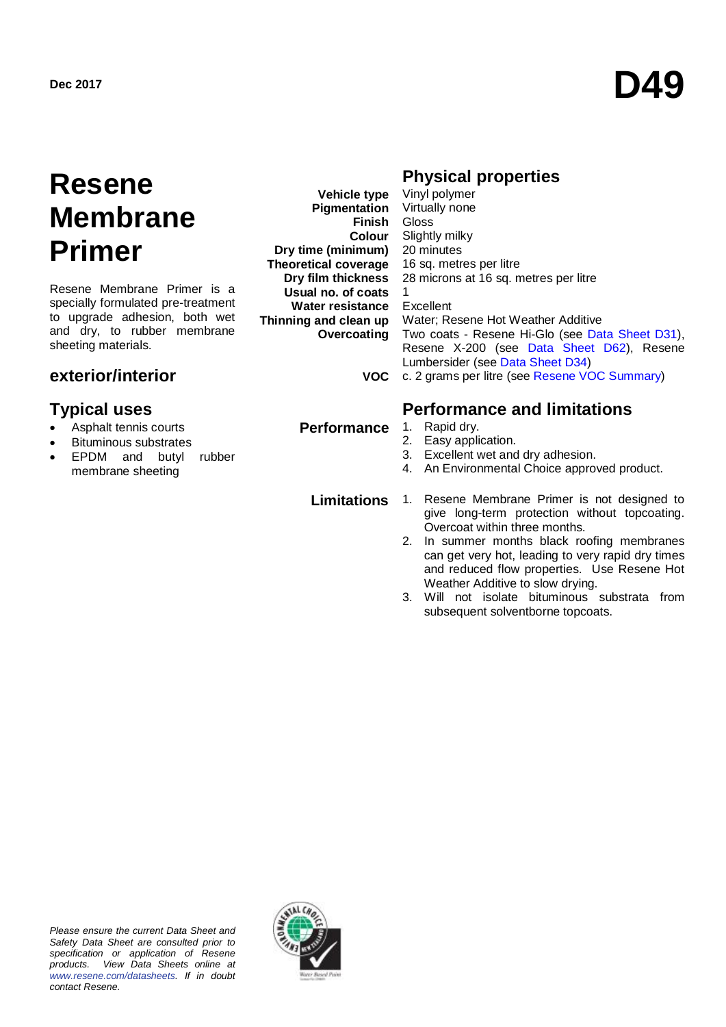# **Resene Membrane Primer**

Resene Membrane Primer is a specially formulated pre-treatment to upgrade adhesion, both wet and dry, to rubber membrane sheeting materials.

# **exterior/interior**

- Asphalt tennis courts
- Bituminous substrates
- EPDM and butyl rubber membrane sheeting

**Vehicle type Pigmentation Finish Colour Dry time (minimum) Theoretical coverage Dry film thickness Usual no. of coats Water resistance Thinning and clean up Overcoating**

# **Physical properties**

**VOC** c. 2 grams per litre (see [Resene VOC Summary\)](http://www.resene.co.nz/archspec/datashts/vocsummary.pdf) Vinyl polymer Virtually none **Gloss** Slightly milky 20 minutes 16 sq. metres per litre 28 microns at 16 sq. metres per litre 1 Excellent Water; Resene Hot Weather Additive Two coats - Resene Hi-Glo (see [Data Sheet D31\)](http://www.resene.co.nz/archspec/datashts/d31_Hi-Glo_Acrylic.pdf), Resene X-200 (see [Data Sheet D62\)](http://www.resene.co.nz/archspec/datashts/d62_X-200_Waterproofing.pdf), Resene Lumbersider (see [Data Sheet D34\)](http://www.resene.co.nz/archspec/datashts/d34_Lumbersider.pdf)

## **Typical uses Performance and limitations**

- **Performance** 1. Rapid dry.
	- 2. Easy application.
	- 3. Excellent wet and dry adhesion.
	- 4. An Environmental Choice approved product.

- **Limitations** 1. Resene Membrane Primer is not designed to give long-term protection without topcoating. Overcoat within three months.
	- 2. In summer months black roofing membranes can get very hot, leading to very rapid dry times and reduced flow properties. Use Resene Hot Weather Additive to slow drying.
	- 3. Will not isolate bituminous substrata from subsequent solventborne topcoats.